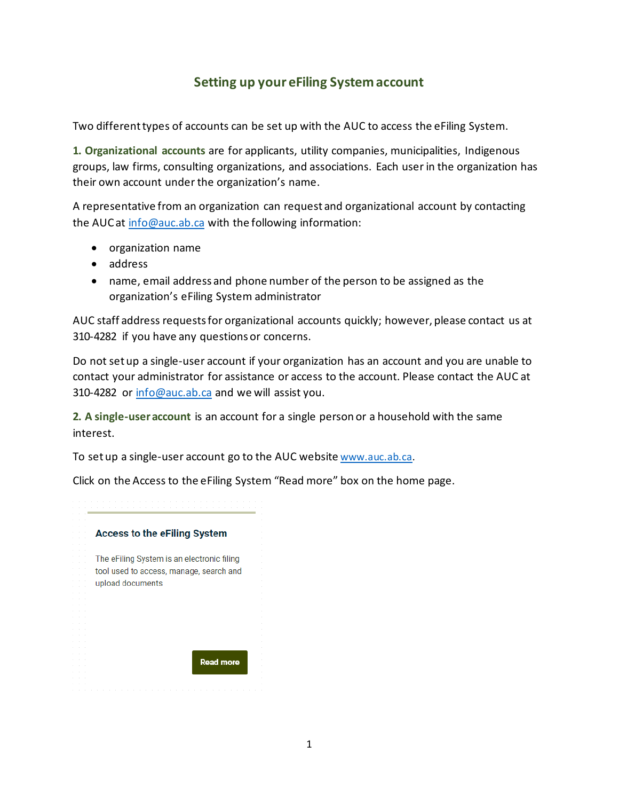## **Setting up your eFiling System account**

Two different types of accounts can be set up with the AUC to access the eFiling System.

**1. Organizational accounts** are for applicants, utility companies, municipalities, Indigenous groups, law firms, consulting organizations, and associations. Each user in the organization has their own account under the organization's name.

A representative from an organization can request and organizational account by contacting the AUC at [info@auc.ab.ca](mailto:info@auc.ab.ca) with the following information:

- organization name
- address
- name, email address and phone number of the person to be assigned as the organization's eFiling System administrator

AUC staff address requests for organizational accounts quickly; however, please contact us at 310-4282 if you have any questions or concerns.

Do not set up a single-user account if your organization has an account and you are unable to contact your administrator for assistance or access to the account. Please contact the AUC at 310-4282 or [info@auc.ab.ca](mailto:info@auc.ab.ca) and we will assist you.

**2. A single-user account** is an account for a single person or a household with the same interest.

To set up a single-user account go to the AUC website [www.auc.ab.ca](file://VPRDIFS102.auc.ab.ca/AUCFiles/Communications/_External%20website%20documents/Reference/www.auc.ab.ca).

Click on the Access to the eFiling System "Read more" box on the home page.